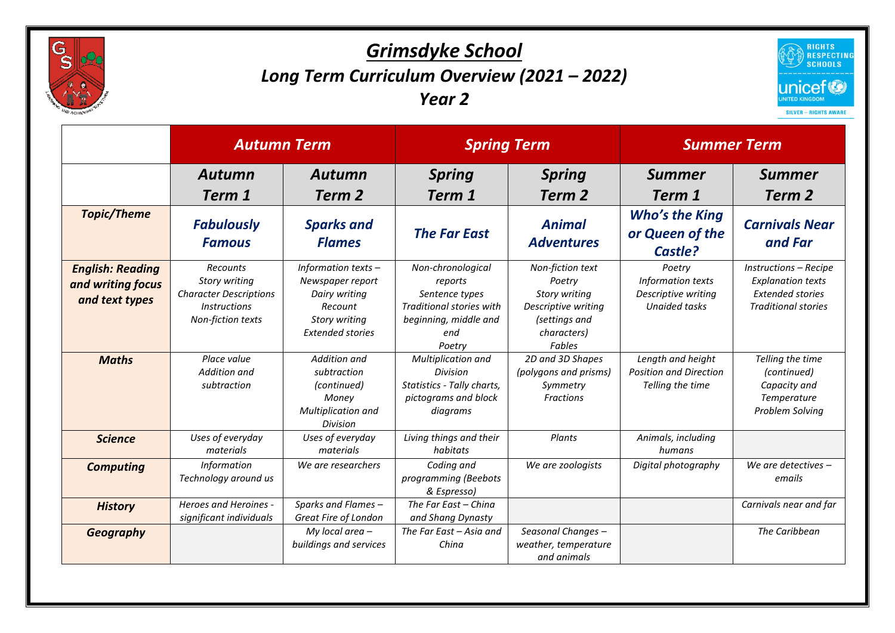

## *Grimsdyke School Long Term Curriculum Overview (2021 – 2022) Year 2*



|                                                                | <b>Autumn Term</b>                                                                                            |                                                                                                                          | <b>Spring Term</b>                                                                                                          |                                                                                                                     | <b>Summer Term</b>                                                         |                                                                                                            |
|----------------------------------------------------------------|---------------------------------------------------------------------------------------------------------------|--------------------------------------------------------------------------------------------------------------------------|-----------------------------------------------------------------------------------------------------------------------------|---------------------------------------------------------------------------------------------------------------------|----------------------------------------------------------------------------|------------------------------------------------------------------------------------------------------------|
|                                                                | <b>Autumn</b><br>Term 1                                                                                       | <b>Autumn</b><br>Term 2                                                                                                  | <b>Spring</b><br>Term 1                                                                                                     | <b>Spring</b><br>Term 2                                                                                             | <b>Summer</b><br>Term 1                                                    | <b>Summer</b><br>Term 2                                                                                    |
| <b>Topic/Theme</b>                                             | <b>Fabulously</b><br><b>Famous</b>                                                                            | <b>Sparks and</b><br><b>Flames</b>                                                                                       | <b>The Far East</b>                                                                                                         | <b>Animal</b><br><b>Adventures</b>                                                                                  | <b>Who's the King</b><br>or Queen of the<br>Castle?                        | <b>Carnivals Near</b><br>and Far                                                                           |
| <b>English: Reading</b><br>and writing focus<br>and text types | <b>Recounts</b><br>Story writing<br><b>Character Descriptions</b><br><b>Instructions</b><br>Non-fiction texts | Information texts $-$<br>Newspaper report<br>Dairy writing<br>Recount<br><b>Story writing</b><br><b>Extended stories</b> | Non-chronological<br>reports<br>Sentence types<br><b>Traditional stories with</b><br>beginning, middle and<br>end<br>Poetry | Non-fiction text<br>Poetry<br>Story writing<br>Descriptive writing<br>(settings and<br>characters)<br><b>Fables</b> | Poetry<br>Information texts<br>Descriptive writing<br><b>Unaided tasks</b> | Instructions - Recipe<br><b>Explanation texts</b><br><b>Extended stories</b><br><b>Traditional stories</b> |
| <b>Maths</b>                                                   | Place value<br><b>Addition and</b><br>subtraction                                                             | Addition and<br>subtraction<br>(continued)<br>Money<br><b>Multiplication and</b><br>Division                             | Multiplication and<br><b>Division</b><br>Statistics - Tally charts,<br>pictograms and block<br>diagrams                     | 2D and 3D Shapes<br>(polygons and prisms)<br>Symmetry<br><b>Fractions</b>                                           | Length and height<br><b>Position and Direction</b><br>Telling the time     | Telling the time<br>(continued)<br>Capacity and<br>Temperature<br>Problem Solving                          |
| <b>Science</b>                                                 | Uses of everyday<br>materials                                                                                 | Uses of everyday<br>materials                                                                                            | Living things and their<br>habitats                                                                                         | Plants                                                                                                              | Animals, including<br>humans                                               |                                                                                                            |
| <b>Computing</b>                                               | <b>Information</b><br>Technology around us                                                                    | We are researchers                                                                                                       | Coding and<br>programming (Beebots<br>& Espresso)                                                                           | We are zoologists                                                                                                   | Digital photography                                                        | We are detectives $-$<br>emails                                                                            |
| <b>History</b>                                                 | Heroes and Heroines -<br>significant individuals                                                              | Sparks and Flames-<br>Great Fire of London                                                                               | The Far East - China<br>and Shang Dynasty                                                                                   |                                                                                                                     |                                                                            | Carnivals near and far                                                                                     |
| Geography                                                      |                                                                                                               | My local area $-$<br>buildings and services                                                                              | The Far East - Asia and<br>China                                                                                            | Seasonal Changes -<br>weather, temperature<br>and animals                                                           |                                                                            | The Caribbean                                                                                              |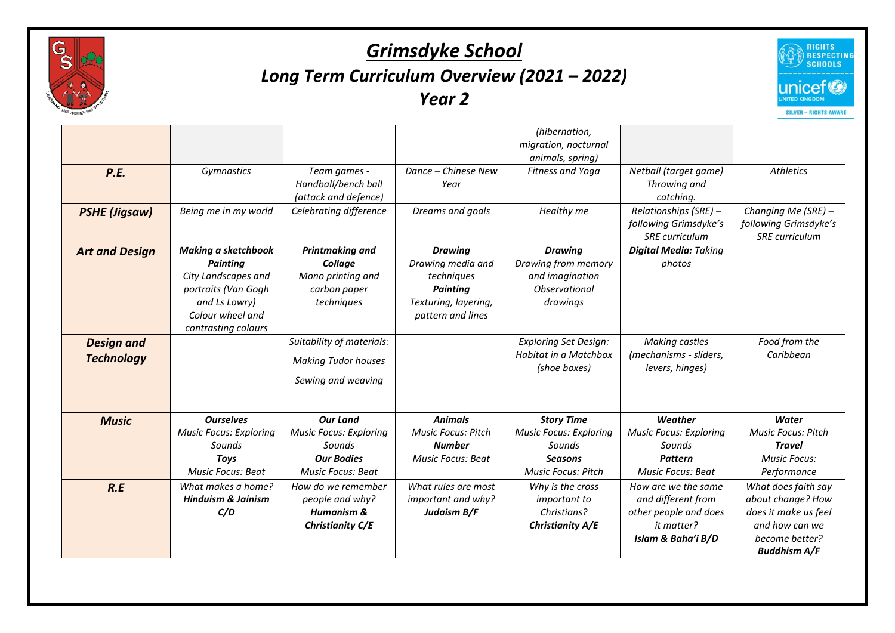

## *Grimsdyke School Long Term Curriculum Overview (2021 – 2022) Year 2*



|                                        |                                                                                                                                                         |                                                                                                             |                                                                                                                   | (hibernation,<br>migration, nocturnal                                                                       |                                                                                                        |                                                                                                                             |
|----------------------------------------|---------------------------------------------------------------------------------------------------------------------------------------------------------|-------------------------------------------------------------------------------------------------------------|-------------------------------------------------------------------------------------------------------------------|-------------------------------------------------------------------------------------------------------------|--------------------------------------------------------------------------------------------------------|-----------------------------------------------------------------------------------------------------------------------------|
| P.E.                                   | <b>Gymnastics</b>                                                                                                                                       | Team games -<br>Handball/bench ball<br>(attack and defence)                                                 | Dance - Chinese New<br>Year                                                                                       | animals, spring)<br>Fitness and Yoga                                                                        | Netball (target game)<br>Throwing and<br>catching.                                                     | <b>Athletics</b>                                                                                                            |
| <b>PSHE (Jigsaw)</b>                   | Being me in my world                                                                                                                                    | Celebrating difference                                                                                      | Dreams and goals                                                                                                  | Healthy me                                                                                                  | Relationships (SRE) -<br>following Grimsdyke's<br><b>SRE</b> curriculum                                | Changing Me (SRE) -<br>following Grimsdyke's<br><b>SRE</b> curriculum                                                       |
| <b>Art and Design</b>                  | <b>Making a sketchbook</b><br><b>Painting</b><br>City Landscapes and<br>portraits (Van Gogh<br>and Ls Lowry)<br>Colour wheel and<br>contrasting colours | <b>Printmaking and</b><br>Collage<br>Mono printing and<br>carbon paper<br>techniques                        | <b>Drawing</b><br>Drawing media and<br>techniques<br><b>Painting</b><br>Texturing, layering,<br>pattern and lines | <b>Drawing</b><br>Drawing from memory<br>and imagination<br>Observational<br>drawings                       | <b>Digital Media: Taking</b><br>photos                                                                 |                                                                                                                             |
| <b>Design and</b><br><b>Technology</b> |                                                                                                                                                         | Suitability of materials:<br><b>Making Tudor houses</b><br>Sewing and weaving                               |                                                                                                                   | <b>Exploring Set Design:</b><br><b>Habitat in a Matchbox</b><br>(shoe boxes)                                | <b>Making castles</b><br>(mechanisms - sliders,<br>levers, hinges)                                     | Food from the<br>Caribbean                                                                                                  |
| <b>Music</b>                           | <b>Ourselves</b><br><b>Music Focus: Exploring</b><br>Sounds<br><b>Toys</b><br><b>Music Focus: Beat</b>                                                  | <b>Our Land</b><br><b>Music Focus: Exploring</b><br>Sounds<br><b>Our Bodies</b><br><b>Music Focus: Beat</b> | <b>Animals</b><br><b>Music Focus: Pitch</b><br><b>Number</b><br><b>Music Focus: Beat</b>                          | <b>Story Time</b><br><b>Music Focus: Exploring</b><br>Sounds<br><b>Seasons</b><br><b>Music Focus: Pitch</b> | Weather<br><b>Music Focus: Exploring</b><br>Sounds<br><b>Pattern</b><br><b>Music Focus: Beat</b>       | Water<br><b>Music Focus: Pitch</b><br><b>Travel</b><br><b>Music Focus:</b><br>Performance                                   |
| R.E                                    | What makes a home?<br><b>Hinduism &amp; Jainism</b><br>C/D                                                                                              | How do we remember<br>people and why?<br><b>Humanism &amp;</b><br>Christianity C/E                          | What rules are most<br>important and why?<br>Judaism B/F                                                          | Why is the cross<br><i>important to</i><br>Christians?<br>Christianity A/E                                  | How are we the same<br>and different from<br>other people and does<br>it matter?<br>Islam & Baha'i B/D | What does faith say<br>about change? How<br>does it make us feel<br>and how can we<br>become better?<br><b>Buddhism A/F</b> |